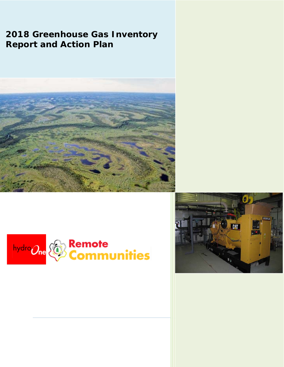# **2018 Greenhouse Gas Inventory Report and Action Plan**





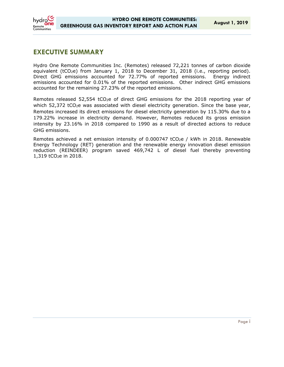

## **EXECUTIVE SUMMARY**

Hydro One Remote Communities Inc. (Remotes) released 72,221 tonnes of carbon dioxide equivalent (tCO<sub>2</sub>e) from January 1, 2018 to December 31, 2018 (i.e., reporting period). Direct GHG emissions accounted for 72.77% of reported emissions. Energy indirect emissions accounted for 0.01% of the reported emissions. Other indirect GHG emissions accounted for the remaining 27.23% of the reported emissions.

Remotes released 52,554 tCO<sub>2</sub>e of direct GHG emissions for the 2018 reporting year of which 52,372 tCO<sub>2</sub>e was associated with diesel electricity generation. Since the base year, Remotes increased its direct emissions for diesel electricity generation by 115.30% due to a 179.22% increase in electricity demand. However, Remotes reduced its gross emission intensity by 23.16% in 2018 compared to 1990 as a result of directed actions to reduce GHG emissions.

Remotes achieved a net emission intensity of 0.000747 tCO<sub>2</sub>e / kWh in 2018. Renewable Energy Technology (RET) generation and the renewable energy innovation diesel emission reduction (REINDEER) program saved 469,742 L of diesel fuel thereby preventing 1,319 tCO2e in 2018.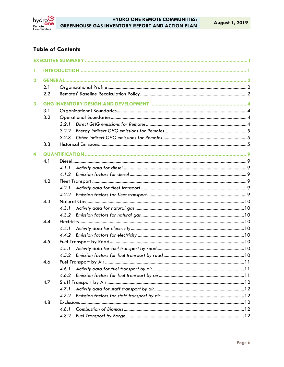

## **Table of Contents**

| 1                       |     |                |  |  |  |
|-------------------------|-----|----------------|--|--|--|
| $\overline{\mathbf{2}}$ |     |                |  |  |  |
|                         | 2.1 |                |  |  |  |
|                         | 2.2 |                |  |  |  |
| 3                       |     |                |  |  |  |
|                         | 3.1 |                |  |  |  |
|                         | 3.2 |                |  |  |  |
|                         |     | 3.2.1          |  |  |  |
|                         |     |                |  |  |  |
|                         |     | 3.2.2<br>3.2.3 |  |  |  |
|                         | 3.3 |                |  |  |  |
|                         |     |                |  |  |  |
| 4                       |     |                |  |  |  |
|                         | 4.1 |                |  |  |  |
|                         |     | 4.1.1          |  |  |  |
|                         |     | 4.1.2          |  |  |  |
|                         | 4.2 |                |  |  |  |
|                         |     | 4.2.1          |  |  |  |
|                         |     | 4.2.2          |  |  |  |
|                         | 4.3 |                |  |  |  |
|                         |     | 4.3.1          |  |  |  |
|                         |     | 4.3.2          |  |  |  |
| 4.4                     |     |                |  |  |  |
|                         |     | 4.4.1          |  |  |  |
|                         |     | 4.4.2          |  |  |  |
|                         | 4.5 |                |  |  |  |
|                         |     | 4.5.1          |  |  |  |
|                         |     | 4.5.2          |  |  |  |
|                         | 4.6 |                |  |  |  |
|                         |     | 4.6.1          |  |  |  |
|                         |     | 4.6.2          |  |  |  |
|                         | 4.7 |                |  |  |  |
|                         |     | 4.7.1          |  |  |  |
|                         |     | 4.7.2          |  |  |  |
|                         | 4.8 |                |  |  |  |
|                         |     | 4.8.1          |  |  |  |
|                         |     | 4.8.2          |  |  |  |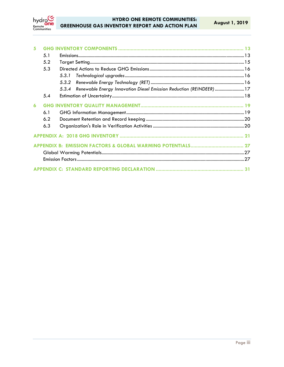

| 5 |     |                                                                            |  |
|---|-----|----------------------------------------------------------------------------|--|
|   | 5.1 |                                                                            |  |
|   | 5.2 |                                                                            |  |
|   | 5.3 |                                                                            |  |
|   |     | 5.3.1                                                                      |  |
|   |     |                                                                            |  |
|   |     | 5.3.4 Renewable Energy Innovation Diesel Emission Reduction (REINDEER)  17 |  |
|   | 5.4 |                                                                            |  |
| 6 |     |                                                                            |  |
|   | 6.1 |                                                                            |  |
|   | 6.2 |                                                                            |  |
|   | 6.3 |                                                                            |  |
|   |     |                                                                            |  |
|   |     |                                                                            |  |
|   |     |                                                                            |  |
|   |     |                                                                            |  |
|   |     |                                                                            |  |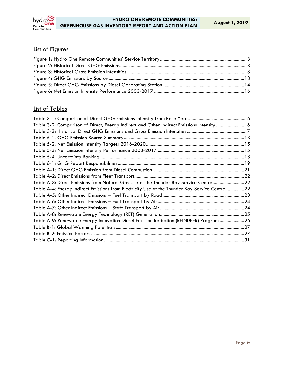

## List of Figures

## List of Tables

| Table 3-2: Comparison of Direct, Energy Indirect and Other Indirect Emissions Intensity 6     |  |
|-----------------------------------------------------------------------------------------------|--|
|                                                                                               |  |
|                                                                                               |  |
|                                                                                               |  |
|                                                                                               |  |
|                                                                                               |  |
|                                                                                               |  |
|                                                                                               |  |
|                                                                                               |  |
| Table A-3: Direct Emissions from Natural Gas Use at the Thunder Bay Service Centre22          |  |
| Table A-4: Energy Indirect Emissions from Electricity Use at the Thunder Bay Service Centre22 |  |
|                                                                                               |  |
|                                                                                               |  |
|                                                                                               |  |
|                                                                                               |  |
| Table A-9: Renewable Energy Innovation Diesel Emission Reduction (REINDEER) Program 26        |  |
|                                                                                               |  |
|                                                                                               |  |
|                                                                                               |  |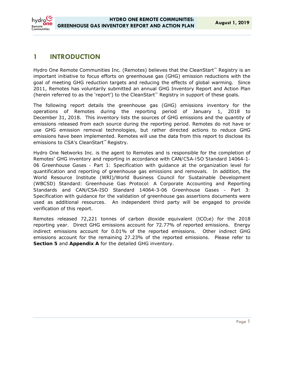## **1 INTRODUCTION**

Remote

Hydro One Remote Communities Inc. (Remotes) believes that the CleanStart™ Registry is an important initiative to focus efforts on greenhouse gas (GHG) emission reductions with the goal of meeting GHG reduction targets and reducing the effects of global warming. Since 2011, Remotes has voluntarily submitted an annual GHG Inventory Report and Action Plan (herein referred to as the 'report') to the CleanStart™ Registry in support of these goals.

The following report details the greenhouse gas (GHG) emissions inventory for the operations of Remotes during the reporting period of January 1, 2018 to December 31, 2018. This inventory lists the sources of GHG emissions and the quantity of emissions released from each source during the reporting period. Remotes do not have or use GHG emission removal technologies, but rather directed actions to reduce GHG emissions have been implemented. Remotes will use the data from this report to disclose its emissions to CSA's CleanStart<sup>™</sup> Registry.

Hydro One Networks Inc. is the agent to Remotes and is responsible for the completion of Remotes' GHG inventory and reporting in accordance with *CAN/CSA-ISO Standard 14064-1- 06 Greenhouse Gases - Part 1: Specification with guidance at the organization level for quantification and reporting of greenhouse gas emissions and removals.* In addition, the World Resource Institute (WRI)/World Business Council for Sustainable Development (WBCSD) Standard: *Greenhouse Gas Protocol: A Corporate Accounting and Reporting Standards* and CAN/CSA-ISO Standard 14064-3-06 *Greenhouse Gases - Part 3: Specification with guidance for the validation of greenhouse gas assertions* documents were used as additional resources. An independent third party will be engaged to provide verification of this report.

Remotes released 72,221 tonnes of carbon dioxide equivalent ( $tCO<sub>2</sub>e$ ) for the 2018 reporting year. Direct GHG emissions account for 72.77% of reported emissions. Energy indirect emissions account for 0.01% of the reported emissions. Other indirect GHG emissions account for the remaining 27.23% of the reported emissions. Please refer to **Section 5** and **Appendix A** for the detailed GHG inventory.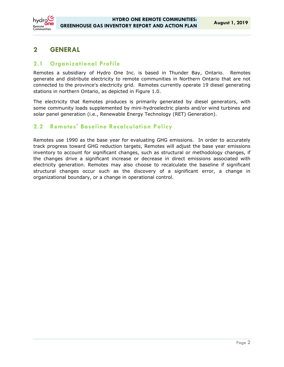## **2 GENERAL**

## **2.1 Organizational Profile**

Remotes a subsidiary of Hydro One Inc. is based in Thunder Bay, Ontario. Remotes generate and distribute electricity to remote communities in Northern Ontario that are not connected to the province's electricity grid. Remotes currently operate 19 diesel generating stations in northern Ontario, as depicted in Figure 1.0.

The electricity that Remotes produces is primarily generated by diesel generators, with some community loads supplemented by mini-hydroelectric plants and/or wind turbines and solar panel generation (i.e., Renewable Energy Technology (RET) Generation).

## **2.2 Remotes' Baseline Recalculation Policy**

Remotes use 1990 as the base year for evaluating GHG emissions. In order to accurately track progress toward GHG reduction targets, Remotes will adjust the base year emissions inventory to account for significant changes, such as structural or methodology changes, if the changes drive a significant increase or decrease in direct emissions associated with electricity generation. Remotes may also choose to recalculate the baseline if significant structural changes occur such as the discovery of a significant error, a change in organizational boundary, or a change in operational control.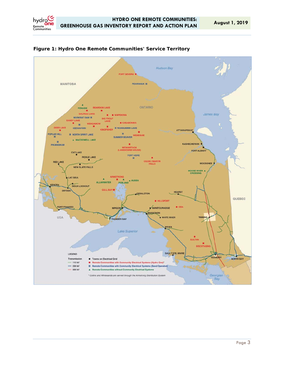

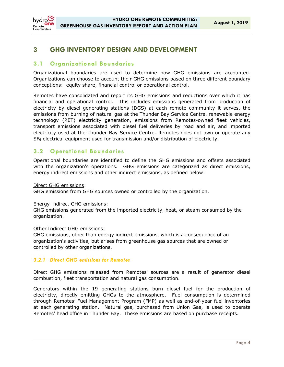

## **3 GHG INVENTORY DESIGN AND DEVELOPMENT**

## **3.1 Organizational Boundaries**

Organizational boundaries are used to determine how GHG emissions are accounted. Organizations can choose to account their GHG emissions based on three different boundary conceptions: equity share, financial control or operational control.

Remotes have consolidated and report its GHG emissions and reductions over which it has financial and operational control. This includes emissions generated from production of electricity by diesel generating stations (DGS) at each remote community it serves, the emissions from burning of natural gas at the Thunder Bay Service Centre, renewable energy technology (RET) electricity generation, emissions from Remotes-owned fleet vehicles, transport emissions associated with diesel fuel deliveries by road and air, and imported electricity used at the Thunder Bay Service Centre. Remotes does not own or operate any SF6 electrical equipment used for transmission and/or distribution of electricity.

## **3.2 Operational Boundaries**

Operational boundaries are identified to define the GHG emissions and offsets associated with the organization's operations. GHG emissions are categorized as direct emissions, energy indirect emissions and other indirect emissions, as defined below:

#### *Direct GHG emissions*:

GHG emissions from GHG sources owned or controlled by the organization.

#### *Energy Indirect GHG emissions*:

GHG emissions generated from the imported electricity, heat, or steam consumed by the organization.

#### *Other Indirect GHG emissions*:

GHG emissions, other than energy indirect emissions, which is a consequence of an organization's activities, but arises from greenhouse gas sources that are owned or controlled by other organizations.

#### *3.2.1 Direct GHG emissions for Remotes*

Direct GHG emissions released from Remotes' sources are a result of generator diesel combustion, fleet transportation and natural gas consumption.

Generators within the 19 generating stations burn diesel fuel for the production of electricity, directly emitting GHGs to the atmosphere. Fuel consumption is determined through Remotes' Fuel Management Program (FMP) as well as end-of-year fuel inventories at each generating station. Natural gas, purchased from Union Gas, is used to operate Remotes' head office in Thunder Bay. These emissions are based on purchase receipts.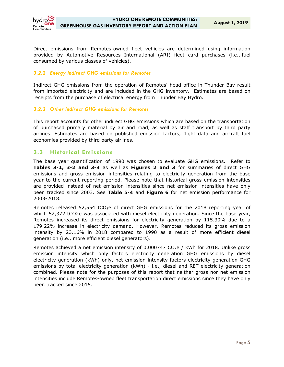

Direct emissions from Remotes-owned fleet vehicles are determined using information provided by Automotive Resources International (ARI) fleet card purchases (i.e., fuel consumed by various classes of vehicles).

#### *3.2.2 Energy indirect GHG emissions for Remotes*

Indirect GHG emissions from the operation of Remotes' head office in Thunder Bay result from imported electricity and are included in the GHG inventory. Estimates are based on receipts from the purchase of electrical energy from Thunder Bay Hydro.

#### *3.2.3 Other indirect GHG emissions for Remotes*

This report accounts for other indirect GHG emissions which are based on the transportation of purchased primary material by air and road, as well as staff transport by third party airlines. Estimates are based on published emission factors, flight data and aircraft fuel economies provided by third party airlines.

### **3.3 Historical Emissions**

The base year quantification of 1990 was chosen to evaluate GHG emissions. Refer to **Tables 3-1, 3-2 and 3-3** as well as **Figures 2 and 3** for summaries of direct GHG emissions and gross emission intensities relating to electricity generation from the base year to the current reporting period. Please note that historical gross emission intensities are provided instead of net emission intensities since net emission intensities have only been tracked since 2003. See **Table 5-4** and **Figure 6** for net emission performance for 2003-2018.

Remotes released  $52,554$  tCO<sub>2</sub>e of direct GHG emissions for the 2018 reporting year of which 52,372 tCO2e was associated with diesel electricity generation. Since the base year, Remotes increased its direct emissions for electricity generation by 115.30% due to a 179.22% increase in electricity demand. However, Remotes reduced its gross emission intensity by 23.16% in 2018 compared to 1990 as a result of more efficient diesel generation (i.e., more efficient diesel generators).

Remotes achieved a net emission intensity of 0.000747 CO<sub>2</sub>e / kWh for 2018. Unlike gross emission intensity which only factors electricity generation GHG emissions by diesel electricity generation (kWh) only, net emission intensity factors electricity generation GHG emissions by total electricity generation (kWh) - i.e., diesel and RET electricity generation combined. Please note for the purposes of this report that neither gross nor net emission intensities include Remotes-owned fleet transportation direct emissions since they have only been tracked since 2015.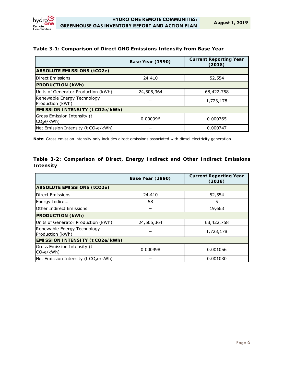

## **Table 3-1: Comparison of Direct GHG Emissions Intensity from Base Year**

|                                                      | <b>Base Year (1990)</b> | <b>Current Reporting Year</b><br>(2018) |  |  |
|------------------------------------------------------|-------------------------|-----------------------------------------|--|--|
| <b>ABSOLUTE EMISSIONS (tCO2e)</b>                    |                         |                                         |  |  |
| <b>Direct Emissions</b>                              | 24,410                  | 52,554                                  |  |  |
| <b>PRODUCTION (kWh)</b>                              |                         |                                         |  |  |
| Units of Generator Production (kWh)                  | 24,505,364              | 68,422,758                              |  |  |
| Renewable Energy Technology<br>Production (kWh)      |                         | 1,723,178                               |  |  |
| EMISSION INTENSITY (t CO2e/kWh)                      |                         |                                         |  |  |
| Gross Emission Intensity (t<br>CO <sub>2</sub> e/kWh | 0.000996                | 0.000765                                |  |  |
| Net Emission Intensity (t CO <sub>2</sub> e/kWh)     |                         | 0.000747                                |  |  |

**Note:** Gross emission intensity only includes direct emissions associated with diesel electricity generation

#### **Table 3-2: Comparison of Direct, Energy Indirect and Other Indirect Emissions Intensity**

|                                                      | <b>Base Year (1990)</b> | <b>Current Reporting Year</b><br>(2018) |  |
|------------------------------------------------------|-------------------------|-----------------------------------------|--|
| <b>ABSOLUTE EMISSIONS (tCO2e)</b>                    |                         |                                         |  |
| <b>Direct Emissions</b>                              | 24,410                  | 52,554                                  |  |
| <b>Energy Indirect</b>                               | 58                      | 5                                       |  |
| Other Indirect Emissions                             |                         | 19,663                                  |  |
| <b>PRODUCTION (kWh)</b>                              |                         |                                         |  |
| Units of Generator Production (kWh)                  | 24,505,364              | 68,422,758                              |  |
| Renewable Energy Technology<br>Production (kWh)      |                         | 1,723,178                               |  |
| <b>EMISSION INTENSITY (t CO2e/kWh)</b>               |                         |                                         |  |
| Gross Emission Intensity (t<br>CO <sub>2</sub> e/kWh | 0.000998                | 0.001056                                |  |
| Net Emission Intensity (t CO <sub>2</sub> e/kWh)     |                         | 0.001030                                |  |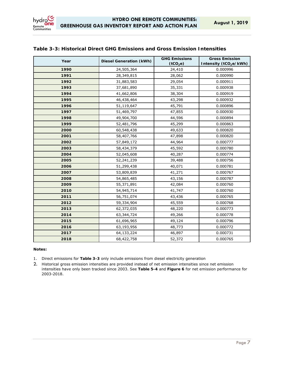| Year | <b>Diesel Generation (kWh)</b> | <b>GHG Emissions</b><br>(tCO <sub>2</sub> e) | <b>Gross Emission</b><br>Intensity (tCO <sub>2</sub> e/kWh) |
|------|--------------------------------|----------------------------------------------|-------------------------------------------------------------|
| 1990 | 24,505,364                     | 24,410                                       | 0.000996                                                    |
| 1991 | 28,349,815                     | 28,062                                       | 0.000990                                                    |
| 1992 | 31,883,583                     | 29,054                                       | 0.000911                                                    |
| 1993 | 37,681,890                     | 35,331                                       | 0.000938                                                    |
| 1994 | 41,662,806                     | 38,304                                       | 0.000919                                                    |
| 1995 | 46,438,464                     | 43,298                                       | 0.000932                                                    |
| 1996 | 51,119,647                     | 45,791                                       | 0.000896                                                    |
| 1997 | 51,469,797                     | 47,855                                       | 0.000930                                                    |
| 1998 | 49,904,700                     | 44,596                                       | 0.000894                                                    |
| 1999 | 52,481,796                     | 45,299                                       | 0.000863                                                    |
| 2000 | 60,548,438                     | 49,633                                       | 0.000820                                                    |
| 2001 | 58,407,766                     | 47,898                                       | 0.000820                                                    |
| 2002 | 57,849,172                     | 44,964                                       | 0.000777                                                    |
| 2003 | 58,434,379                     | 45,592                                       | 0.000780                                                    |
| 2004 | 52,045,608                     | 40,287                                       | 0.000774                                                    |
| 2005 | 52,241,239                     | 39,488                                       | 0.000756                                                    |
| 2006 | 51,299,438                     | 40,071                                       | 0.000781                                                    |
| 2007 | 53,809,839                     | 41,271                                       | 0.000767                                                    |
| 2008 | 54,865,485                     | 43,156                                       | 0.000787                                                    |
| 2009 | 55,371,891                     | 42,084                                       | 0.000760                                                    |
| 2010 | 54,945,714                     | 41,747                                       | 0.000760                                                    |
| 2011 | 56,751,074                     | 43,436                                       | 0.000765                                                    |
| 2012 | 59,334,904                     | 45,559                                       | 0.000768                                                    |
| 2013 | 62,372,035                     | 48,220                                       | 0.000773                                                    |
| 2014 | 63, 344, 724                   | 49,266                                       | 0.000778                                                    |
| 2015 | 61,696,965                     | 49,124                                       | 0.000796                                                    |
| 2016 | 63,193,956                     | 48,773                                       | 0.000772                                                    |
| 2017 | 64,133,224                     | 46,897                                       | 0.000731                                                    |
| 2018 | 68,422,758                     | 52,372                                       | 0.000765                                                    |

#### **Table 3-3: Historical Direct GHG Emissions and Gross Emission Intensities**

#### **Notes:**

1. Direct emissions for **Table 3-3** only include emissions from diesel electricity generation

2. Historical gross emission intensities are provided instead of net emission intensities since net emission intensities have only been tracked since 2003. See **Table 5-4** and **Figure 6** for net emission performance for 2003-2018.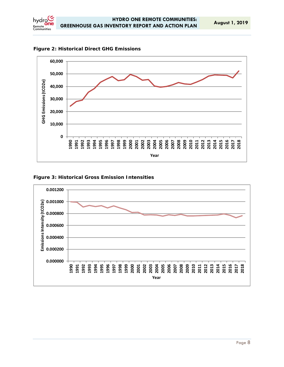



#### **Figure 3: Historical Gross Emission Intensities**

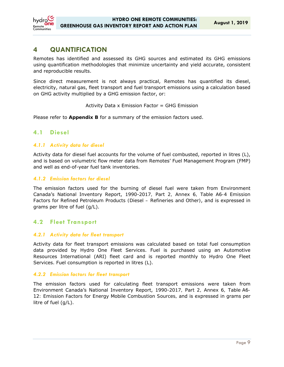

## **4 QUANTIFICATION**

Remotes has identified and assessed its GHG sources and estimated its GHG emissions using quantification methodologies that minimize uncertainty and yield accurate, consistent and reproducible results.

Since direct measurement is not always practical, Remotes has quantified its diesel, electricity, natural gas, fleet transport and fuel transport emissions using a calculation based on GHG activity multiplied by a GHG emission factor, or:

Activity Data x Emission Factor = GHG Emission

Please refer to **Appendix B** for a summary of the emission factors used.

## **4.1 Diesel**

#### *4.1.1 Activity data for diesel*

Activity data for diesel fuel accounts for the volume of fuel combusted, reported in litres (L), and is based on volumetric flow meter data from Remotes' Fuel Management Program (FMP) and well as end-of-year fuel tank inventories.

#### *4.1.2 Emission factors for diesel*

The emission factors used for the burning of diesel fuel were taken from Environment Canada's National Inventory Report, 1990-2017*, Part 2, Annex 6, Table A6-4 Emission Factors for Refined Petroleum Products (Diesel – Refineries and Other)*, and is expressed in grams per litre of fuel (g/L).

### **4.2 Fleet Transport**

#### *4.2.1 Activity data for fleet transport*

Activity data for fleet transport emissions was calculated based on total fuel consumption data provided by Hydro One Fleet Services. Fuel is purchased using an Automotive Resources International (ARI) fleet card and is reported monthly to Hydro One Fleet Services. Fuel consumption is reported in litres (L).

#### *4.2.2 Emission factors for fleet transport*

The emission factors used for calculating fleet transport emissions were taken from Environment Canada's National Inventory Report, 1990-2017*, Part 2, Annex 6, Table A6- 12: Emission Factors for Energy Mobile Combustion Sources,* and is expressed in grams per litre of fuel (g/L).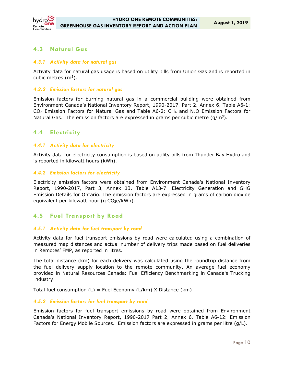

## **4.3 Natural Gas**

#### *4.3.1 Activity data for natural gas*

Activity data for natural gas usage is based on utility bills from Union Gas and is reported in cubic metres  $(m<sup>3</sup>)$ .

#### *4.3.2 Emission factors for natural gas*

Emission factors for burning natural gas in a commercial building were obtained from Environment Canada's National Inventory Report, 1990-2017*, Part 2, Annex 6, Table A6-1: CO2 Emission Factors for Natural Gas and Table A6-2: CH4 and N2O Emission Factors for Natural Gas.* The emission factors are expressed in grams per cubic metre (g/m3).

### **4.4 Electricity**

#### *4.4.1 Activity data for electricity*

Activity data for electricity consumption is based on utility bills from Thunder Bay Hydro and is reported in kilowatt hours (kWh).

#### *4.4.2 Emission factors for electricity*

Electricity emission factors were obtained from Environment Canada's National Inventory Report, 1990-2017*, Part 3, Annex 13, Table A13-7: Electricity Generation and GHG Emission Details for Ontario.* The emission factors are expressed in grams of carbon dioxide equivalent per kilowatt hour (g CO<sub>2</sub>e/kWh).

### **4.5 Fuel Transport by Road**

#### *4.5.1 Activity data for fuel transport by road*

Activity data for fuel transport emissions by road were calculated using a combination of measured map distances and actual number of delivery trips made based on fuel deliveries in Remotes' FMP, as reported in litres.

The total distance (km) for each delivery was calculated using the roundtrip distance from the fuel delivery supply location to the remote community. An average fuel economy provided in *Natural Resources Canada: Fuel Efficiency Benchmarking in Canada's Trucking Industry*.

Total fuel consumption  $(L)$  = Fuel Economy  $(L/km)$  X Distance  $(km)$ 

#### *4.5.2 Emission factors for fuel transport by road*

Emission factors for fuel transport emissions by road were obtained from Environment Canada's National Inventory Report, 1990-2017 *Part 2, Annex 6, Table A6-12: Emission Factors for Energy Mobile Sources*. Emission factors are expressed in grams per litre (g/L).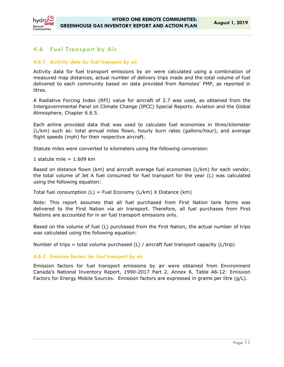

## **4.6 Fuel Transport by Air**

### *4.6.1 Activity data for fuel transport by air*

Activity data for fuel transport emissions by air were calculated using a combination of measured map distances, actual number of delivery trips made and the total volume of fuel delivered to each community based on data provided from Remotes' FMP, as reported in litres.

A Radiative Forcing Index (RFI) value for aircraft of 2.7 was used, as obtained from the Intergovernmental Panel on Climate Change (IPCC) *Special Reports: Aviation and the Global Atmosphere, Chapter 6.6.5.* 

Each airline provided data that was used to calculate fuel economies in litres/kilometer (L/km) such as: total annual miles flown, hourly burn rates (gallons/hour), and average flight speeds (mph) for their respective aircraft.

Statute miles were converted to kilometers using the following conversion:

1 statute mile  $= 1.609$  km

Based on distance flown (km) and aircraft average fuel economies (L/km) for each vendor, the total volume of Jet A fuel consumed for fuel transport for the year (L) was calculated using the following equation:

Total fuel consumption  $(L)$  = Fuel Economy ( $L/km$ ) X Distance (km)

Note: This report assumes that all fuel purchased from First Nation tank farms was delivered to the First Nation via air transport. Therefore, all fuel purchases from First Nations are accounted for in air fuel transport emissions only.

Based on the volume of fuel (L) purchased from the First Nation, the actual number of trips was calculated using the following equation:

Number of trips = total volume purchased (L) / aircraft fuel transport capacity (L/trip)

#### *4.6.2 Emission factors for fuel transport by air*

Emission factors for fuel transport emissions by air were obtained from Environment Canada's National Inventory Report, 1990-2017 *Part 2, Annex 6, Table A6-12: Emission Factors for Energy Mobile Sources*. Emission factors are expressed in grams per litre (g/L).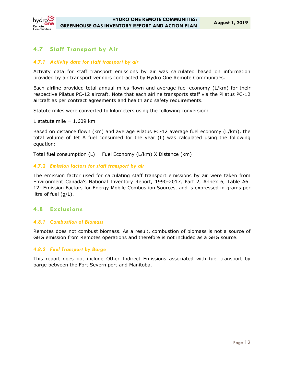

## **4.7 Staff Transport by Air**

### *4.7.1 Activity data for staff transport by air*

Activity data for staff transport emissions by air was calculated based on information provided by air transport vendors contracted by Hydro One Remote Communities.

Each airline provided total annual miles flown and average fuel economy (L/km) for their respective Pilatus PC-12 aircraft. Note that each airline transports staff via the Pilatus PC-12 aircraft as per contract agreements and health and safety requirements.

Statute miles were converted to kilometers using the following conversion:

1 statute mile  $= 1.609$  km

Based on distance flown (km) and average Pilatus PC-12 average fuel economy (L/km), the total volume of Jet A fuel consumed for the year (L) was calculated using the following equation:

Total fuel consumption  $(L)$  = Fuel Economy  $(L/km)$  X Distance  $(km)$ 

#### *4.7.2 Emission factors for staff transport by air*

The emission factor used for calculating staff transport emissions by air were taken from Environment Canada's National Inventory Report, 1990-2017*, Part 2, Annex 6, Table A6- 12: Emission Factors for Energy Mobile Combustion Sources,* and is expressed in grams per litre of fuel (g/L).

### **4.8 Exclusions**

#### *4.8.1 Combustion of Biomass*

Remotes does not combust biomass. As a result, combustion of biomass is not a source of GHG emission from Remotes operations and therefore is not included as a GHG source.

#### *4.8.2 Fuel Transport by Barge*

This report does not include Other Indirect Emissions associated with fuel transport by barge between the Fort Severn port and Manitoba.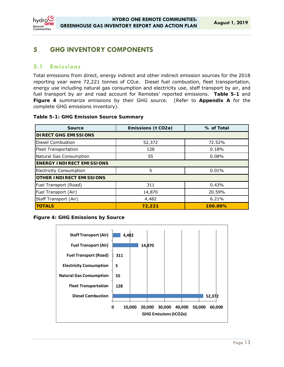

## **5 GHG INVENTORY COMPONENTS**

### **5.1 Emissions**

Total emissions from direct, energy indirect and other indirect emission sources for the 2018 reporting year were 72,221 tonnes of CO<sub>2</sub>e. Diesel fuel combustion, fleet transportation, energy use including natural gas consumption and electricity use, staff transport by air, and fuel transport by air and road account for Remotes' reported emissions. **Table 5-1** and **Figure 4** summarize emissions by their GHG source. (Refer to **Appendix A** for the complete GHG emissions inventory).

#### **Table 5-1: GHG Emission Source Summary**

| <b>Source</b>                    | Emissions (t CO2e) | % of Total |  |  |  |
|----------------------------------|--------------------|------------|--|--|--|
| <b>DIRECT GHG EMISSIONS</b>      |                    |            |  |  |  |
| Diesel Combustion                | 52,372             | 72.52%     |  |  |  |
| <b>Fleet Transportation</b>      | 128                | 0.18%      |  |  |  |
| Natural Gas Consumption          | 55                 | 0.08%      |  |  |  |
| <b>ENERGY INDIRECT EMISSIONS</b> |                    |            |  |  |  |
| <b>Electricity Consumption</b>   | 5                  | 0.01%      |  |  |  |
| <b>OTHER INDIRECT EMISSIONS</b>  |                    |            |  |  |  |
| Fuel Transport (Road)            | 311                | 0.43%      |  |  |  |
| Fuel Transport (Air)             | 14,870             | 20.59%     |  |  |  |
| Staff Transport (Air)            | 4,482              | 6.21%      |  |  |  |
| <b>TOTALS</b>                    | 72,221             | 100.00%    |  |  |  |

#### **Figure 4: GHG Emissions by Source**

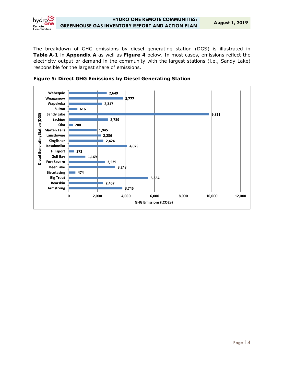

The breakdown of GHG emissions by diesel generating station (DGS) is illustrated in **Table A-1** in **Appendix A** as well as **Figure 4** below. In most cases, emissions reflect the electricity output or demand in the community with the largest stations (i.e., Sandy Lake) responsible for the largest share of emissions.



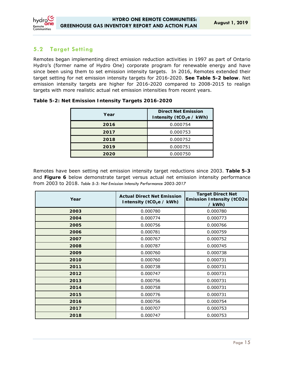

## **5.2 Target Setting**

Remotes began implementing direct emission reduction activities in 1997 as part of Ontario Hydro's (former name of Hydro One) corporate program for renewable energy and have since been using them to set emission intensity targets. In 2016, Remotes extended their target setting for net emission intensity targets for 2016-2020. **See Table 5-2 below**. Net emission intensity targets are higher for 2016-2020 compared to 2008-2015 to realign targets with more realistic actual net emission intensities from recent years.

| Year | <b>Direct Net Emission</b><br>Intensity (tCO <sub>2</sub> e / kWh) |
|------|--------------------------------------------------------------------|
| 2016 | 0.000754                                                           |
| 2017 | 0.000753                                                           |
| 2018 | 0.000752                                                           |
| 2019 | 0.000751                                                           |
| 2020 | 0.000750                                                           |

#### **Table 5-2: Net Emission Intensity Targets 2016-2020**

Remotes have been setting net emission intensity target reductions since 2003. **Table 5-3** and **Figure 6** below demonstrate target versus actual net emission intensity performance from 2003 to 2018. *Table 5-3: Net Emission Intensity Performance 2003-2017* 

| Year | <b>Actual Direct Net Emission</b><br>Intensity (tCO <sub>2</sub> e / kWh) | <b>Target Direct Net</b><br><b>Emission Intensity (tCO2e)</b><br>/kWh) |
|------|---------------------------------------------------------------------------|------------------------------------------------------------------------|
| 2003 | 0.000780                                                                  | 0.000780                                                               |
| 2004 | 0.000774                                                                  | 0.000773                                                               |
| 2005 | 0.000756                                                                  | 0.000766                                                               |
| 2006 | 0.000781                                                                  | 0.000759                                                               |
| 2007 | 0.000767                                                                  | 0.000752                                                               |
| 2008 | 0.000787                                                                  | 0.000745                                                               |
| 2009 | 0.000760                                                                  | 0.000738                                                               |
| 2010 | 0.000760                                                                  | 0.000731                                                               |
| 2011 | 0.000738                                                                  | 0.000731                                                               |
| 2012 | 0.000747                                                                  | 0.000731                                                               |
| 2013 | 0.000756                                                                  | 0.000731                                                               |
| 2014 | 0.000758                                                                  | 0.000731                                                               |
| 2015 | 0.000776                                                                  | 0.000731                                                               |
| 2016 | 0.000756                                                                  | 0.000754                                                               |
| 2017 | 0.000707                                                                  | 0.000753                                                               |
| 2018 | 0.000747                                                                  | 0.000753                                                               |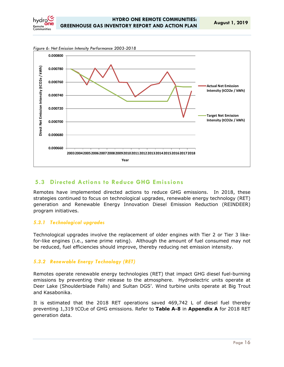



*Figure 6: Net Emission Intensity Performance 2003-2018* 

## **5.3 Directed Actions to Reduce GHG Emissions**

Remotes have implemented directed actions to reduce GHG emissions. In 2018, these strategies continued to focus on technological upgrades, renewable energy technology (RET) generation and Renewable Energy Innovation Diesel Emission Reduction (REINDEER) program initiatives.

#### *5.3.1 Technological upgrades*

Technological upgrades involve the replacement of older engines with Tier 2 or Tier 3 likefor-like engines (i.e., same prime rating). Although the amount of fuel consumed may not be reduced, fuel efficiencies should improve, thereby reducing net emission intensity.

#### *5.3.2 Renewable Energy Technology (RET)*

Remotes operate renewable energy technologies (RET) that impact GHG diesel fuel-burning emissions by preventing their release to the atmosphere. Hydroelectric units operate at Deer Lake (Shoulderblade Falls) and Sultan DGS'. Wind turbine units operate at Big Trout and Kasabonika.

It is estimated that the 2018 RET operations saved 469,742 L of diesel fuel thereby preventing 1,319 tCO2e of GHG emissions. Refer to **Table A-8** in **Appendix A** for 2018 RET generation data.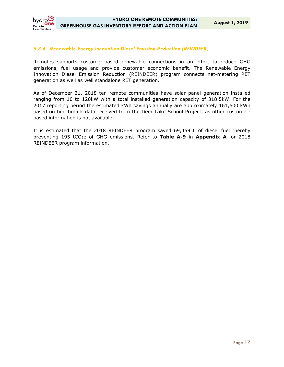

#### *5.3.4 Renewable Energy Innovation Diesel Emission Reduction (REINDEER)*

Remotes supports customer-based renewable connections in an effort to reduce GHG emissions, fuel usage and provide customer economic benefit. The Renewable Energy Innovation Diesel Emission Reduction (REINDEER) program connects net-metering RET generation as well as well standalone RET generation.

As of December 31, 2018 ten remote communities have solar panel generation installed ranging from 10 to 120kW with a total installed generation capacity of 318.5kW. For the 2017 reporting period the estimated kWh savings annually are approximately 161,600 kWh based on benchmark data received from the Deer Lake School Project, as other customerbased information is not available.

It is estimated that the 2018 REINDEER program saved 69,459 L of diesel fuel thereby preventing 195 tCO2e of GHG emissions. Refer to **Table A-9** in **Appendix A** for 2018 REINDEER program information.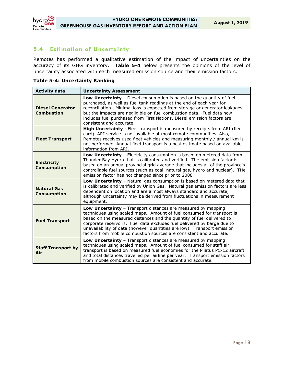

## **5.4 Estimation of Uncertainty**

Remotes has performed a qualitative estimation of the impact of uncertainties on the accuracy of its GHG inventory. **Table 5-4** below presents the opinions of the level of uncertainty associated with each measured emission source and their emission factors.

| <b>Activity data</b>                         | <b>Uncertainty Assessment</b>                                                                                                                                                                                                                                                                                                                                                                                                                 |  |  |  |
|----------------------------------------------|-----------------------------------------------------------------------------------------------------------------------------------------------------------------------------------------------------------------------------------------------------------------------------------------------------------------------------------------------------------------------------------------------------------------------------------------------|--|--|--|
| <b>Diesel Generator</b><br><b>Combustion</b> | Low Uncertainty - Diesel consumption is based on the quantity of fuel<br>purchased, as well as fuel tank readings at the end of each year for<br>reconciliation. Minimal loss is expected from storage or generator leakages<br>but the impacts are negligible on fuel combustion data. Fuel data now<br>includes fuel purchased from First Nations. Diesel emission factors are<br>consistent and accurate.                                  |  |  |  |
| <b>Fleet Transport</b>                       | High Uncertainty - Fleet transport is measured by receipts from ARI (fleet<br>card). ARI service is not available at most remote communities. Also,<br>Remotes receives used fleet vehicles and measuring monthly / annual km is<br>not performed. Annual fleet transport is a best estimate based on available<br>information from ARI.                                                                                                      |  |  |  |
| <b>Electricity</b><br>Consumption            | Low Uncertainty - Electricity consumption is based on metered data from<br>Thunder Bay Hydro that is calibrated and verified. The emission factor is<br>based on an annual provincial grid average that includes all of the province's<br>controllable fuel sources (such as coal, natural gas, hydro and nuclear). THe<br>emission factor has not changed since prior to 2008                                                                |  |  |  |
| <b>Natural Gas</b><br>Consumption            | Low Uncertainty - Natural gas consumption is based on metered data that<br>is calibrated and verified by Union Gas. Natural gas emission factors are less<br>dependent on location and are almost always standard and accurate,<br>although uncertainty may be derived from fluctuations in measurement<br>equipment.                                                                                                                         |  |  |  |
| <b>Fuel Transport</b>                        | Low Uncertainty - Transport distances are measured by mapping<br>techniques using scaled maps. Amount of fuel consumed for transport is<br>based on the measured distances and the quantity of fuel delivered to<br>corporate reservoirs. Fuel data excludes fuel delivered by barge due to<br>unavailability of data (however quantities are low). Transport emission<br>factors from mobile combustion sources are consistent and accurate. |  |  |  |
| <b>Staff Transport by</b><br>Air             | Low Uncertainty - Transport distances are measured by mapping<br>techniques using scaled maps. Amount of fuel consumed for staff air<br>transport is based on measured fuel economies for the Pilatus PC-12 aircraft<br>and total distances travelled per airline per year. Transport emission factors<br>from mobile combustion sources are consistent and accurate.                                                                         |  |  |  |

#### **Table 5-4: Uncertainty Ranking**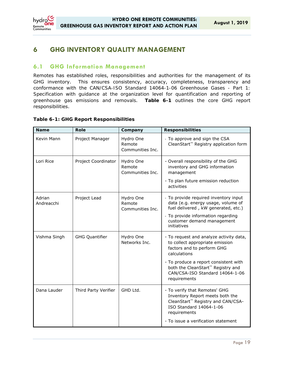

## **6 GHG INVENTORY QUALITY MANAGEMENT**

### **6.1 GHG Information Management**

Remotes has established roles, responsibilities and authorities for the management of its GHG inventory. This ensures consistency, accuracy, completeness, transparency and conformance with the *CAN/CSA-ISO Standard 14064-1-06 Greenhouse Gases - Part 1: Specification with guidance at the organization level for quantification and reporting of greenhouse gas emissions and removals*. **Table 6-1** outlines the core GHG report responsibilities.

#### **Table 6-1: GHG Report Responsibilities**

| <b>Name</b>          | <b>Role</b>           | Company                                 | <b>Responsibilities</b>                                                                                                                                                                                                                                               |
|----------------------|-----------------------|-----------------------------------------|-----------------------------------------------------------------------------------------------------------------------------------------------------------------------------------------------------------------------------------------------------------------------|
| Kevin Mann           | Project Manager       | Hydro One<br>Remote<br>Communities Inc. | - To approve and sign the CSA<br>CleanStart <sup>™</sup> Registry application form                                                                                                                                                                                    |
| Lori Rice            | Project Coordinator   | Hydro One<br>Remote<br>Communities Inc. | - Overall responsibility of the GHG<br>inventory and GHG information<br>management<br>- To plan future emission reduction<br>activities                                                                                                                               |
| Adrian<br>Andreacchi | Project Lead          | Hydro One<br>Remote<br>Communities Inc. | - To provide required inventory input<br>data (e.g. energy usage, volume of<br>fuel delivered, kW generated, etc.)<br>- To provide information regarding<br>customer demand management<br>initiatives                                                                 |
| Vishma Singh         | <b>GHG Quantifier</b> | Hydro One<br>Networks Inc.              | - To request and analyze activity data,<br>to collect appropriate emission<br>factors and to perform GHG<br>calculations<br>- To produce a report consistent with<br>both the CleanStart <sup>™</sup> Registry and<br>CAN/CSA-ISO Standard 14064-1-06<br>requirements |
| Dana Lauder          | Third Party Verifier  | GHD Ltd.                                | - To verify that Remotes' GHG<br>Inventory Report meets both the<br>CleanStart™ Registry and CAN/CSA-<br>ISO Standard 14064-1-06<br>requirements<br>- To issue a verification statement                                                                               |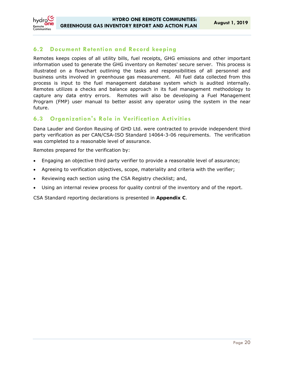## **6.2 Document Retention and Record keeping**

Remotes keeps copies of all utility bills, fuel receipts, GHG emissions and other important information used to generate the GHG inventory on Remotes' secure server. This process is illustrated on a flowchart outlining the tasks and responsibilities of all personnel and business units involved in greenhouse gas measurement. All fuel data collected from this process is input to the fuel management database system which is audited internally. Remotes utilizes a checks and balance approach in its fuel management methodology to capture any data entry errors. Remotes will also be developing a Fuel Management Program (FMP) user manual to better assist any operator using the system in the near future.

## **6.3 Organization's Role in Verification Activities**

Dana Lauder and Gordon Reusing of GHD Ltd. were contracted to provide independent third party verification as per CAN/CSA-ISO Standard 14064-3-06 requirements. The verification was completed to a reasonable level of assurance.

Remotes prepared for the verification by:

- Engaging an objective third party verifier to provide a reasonable level of assurance;
- Agreeing to verification objectives, scope, materiality and criteria with the verifier;
- Reviewing each section using the CSA Registry checklist; and,
- Using an internal review process for quality control of the inventory and of the report.

CSA Standard reporting declarations is presented in **Appendix C**.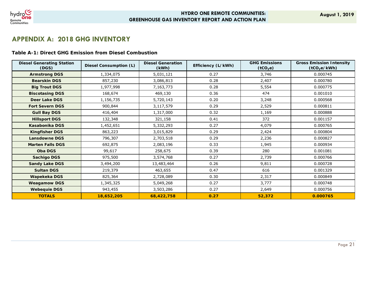

## **APPENDIX A: 2018 GHG INVENTORY**

#### **Table A-1: Direct GHG Emission from Diesel Combustion**

| <b>Diesel Generating Station</b><br>(DGS) | <b>Diesel Consumption (L)</b> | <b>Diesel Generation</b><br>(kWh) | Efficiency (L/kWh) | <b>GHG Emissions</b><br>(tCO <sub>2</sub> e) | <b>Gross Emission Intensity</b><br>(tCO <sub>2</sub> e/kWh) |
|-------------------------------------------|-------------------------------|-----------------------------------|--------------------|----------------------------------------------|-------------------------------------------------------------|
| <b>Armstrong DGS</b>                      | 1,334,075                     | 5,031,121                         | 0.27               | 3,746                                        | 0.000745                                                    |
| <b>Bearskin DGS</b>                       | 857,230                       | 3,086,813                         | 0.28               | 2,407                                        | 0.000780                                                    |
| <b>Big Trout DGS</b>                      | 1,977,998                     | 7,163,773                         | 0.28               | 5,554                                        | 0.000775                                                    |
| <b>Biscotasing DGS</b>                    | 168,674                       | 469,130                           | 0.36               | 474                                          | 0.001010                                                    |
| <b>Deer Lake DGS</b>                      | 1,156,735                     | 5,720,143                         | 0.20               | 3,248                                        | 0.000568                                                    |
| <b>Fort Severn DGS</b>                    | 900,844                       | 3,117,579                         | 0.29               | 2,529                                        | 0.000811                                                    |
| <b>Gull Bay DGS</b>                       | 416,404                       | 1,317,000                         | 0.32               | 1,169                                        | 0.000888                                                    |
| <b>Hillsport DGS</b>                      | 132,348                       | 321,158                           | 0.41               | 372                                          | 0.001157                                                    |
| Kasabonika DGS                            | 1,452,651                     | 5,332,293                         | 0.27               | 4,079                                        | 0.000765                                                    |
| <b>Kingfisher DGS</b>                     | 863,223                       | 3,015,829                         | 0.29               | 2,424                                        | 0.000804                                                    |
| <b>Lansdowne DGS</b>                      | 796,307                       | 2,703,518                         | 0.29               | 2,236                                        | 0.000827                                                    |
| <b>Marten Falls DGS</b>                   | 692,875                       | 2,083,196                         | 0.33               | 1,945                                        | 0.000934                                                    |
| <b>Oba DGS</b>                            | 99,617                        | 258,675                           | 0.39               | 280                                          | 0.001081                                                    |
| <b>Sachigo DGS</b>                        | 975,500                       | 3,574,768                         | 0.27               | 2,739                                        | 0.000766                                                    |
| <b>Sandy Lake DGS</b>                     | 3,494,200                     | 13,483,464                        | 0.26               | 9,811                                        | 0.000728                                                    |
| <b>Sultan DGS</b>                         | 219,379                       | 463,655                           | 0.47               | 616                                          | 0.001329                                                    |
| Wapekeka DGS                              | 825,364                       | 2,728,089                         | 0.30               | 2,317                                        | 0.000849                                                    |
| <b>Weagamow DGS</b>                       | 1,345,325                     | 5,049,268                         | 0.27               | 3,777                                        | 0.000748                                                    |
| <b>Webequie DGS</b>                       | 943,455                       | 3,503,286                         | 0.27               | 2,649                                        | 0.000756                                                    |
| <b>TOTALS</b>                             | 18,652,205                    | 68,422,758                        | 0.27               | 52,372                                       | 0.000765                                                    |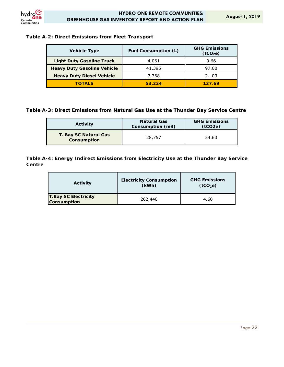

#### **Table A-2: Direct Emissions from Fleet Transport**

| <b>Vehicle Type</b>                | <b>Fuel Consumption (L)</b> | <b>GHG Emissions</b><br>(tCO <sub>2</sub> e) |
|------------------------------------|-----------------------------|----------------------------------------------|
| <b>Light Duty Gasoline Truck</b>   | 4,061                       | 9.66                                         |
| <b>Heavy Duty Gasoline Vehicle</b> | 41,395                      | 97.00                                        |
| <b>Heavy Duty Diesel Vehicle</b>   | 7,768                       | 21.03                                        |
| <b>TOTALS</b>                      | 53,224                      | 127.69                                       |

**Table A-3: Direct Emissions from Natural Gas Use at the Thunder Bay Service Centre** 

| <b>Activity</b>                             | <b>Natural Gas</b><br>Consumption (m3) | <b>GHG Emissions</b><br>(tCO2e) |
|---------------------------------------------|----------------------------------------|---------------------------------|
| T. Bay SC Natural Gas<br><b>Consumption</b> | 28,757                                 | 54.63                           |

**Table A-4: Energy Indirect Emissions from Electricity Use at the Thunder Bay Service Centre** 

| <b>Activity</b>                                   | <b>Electricity Consumption</b><br>(kWh) | <b>GHG Emissions</b><br>(tCO <sub>2</sub> e) |
|---------------------------------------------------|-----------------------------------------|----------------------------------------------|
| <b>T.Bay SC Electricity</b><br><b>Consumption</b> | 262,440                                 | 4.60                                         |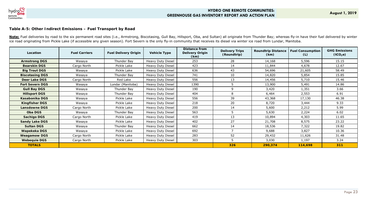

#### **Table A-5: Other Indirect Emissions – Fuel Transport by Road**

Note: Fuel deliveries by road to the six permanent road sites (i.e., Armstrong, Biscotasing, Gull Bay, Hillsport, Oba, and Sultan) all originate from Thunder Bay; whereas fly-in have their fuel delivered by winter ice road originating from Pickle Lake (if accessible any given season). Fort Severn is the only fly-in community that receives its diesel via winter ice road from Lundar, Manitoba.

| Location               | <b>Fuel Carriers</b> | <b>Fuel Delivery Origin</b> | <b>Vehicle Type</b>      | Distance from<br><b>Delivery Origin</b><br>(km) | <b>Delivery Trips</b><br>(Roundtrip) | <b>Roundtrip Distance</b><br>(km) | <b>Fuel Consumption</b><br>(L) | <b>GHG Emissions</b><br>(tCO <sub>2</sub> e) |
|------------------------|----------------------|-----------------------------|--------------------------|-------------------------------------------------|--------------------------------------|-----------------------------------|--------------------------------|----------------------------------------------|
| <b>Armstrong DGS</b>   | Wasaya               | Thunder Bay                 | Heavy Duty Diesel        | 253                                             | 28                                   | 14,168                            | 5,596                          | 15.15                                        |
| <b>Bearskin DGS</b>    | Cargo North          | Pickle Lake                 | Heavy Duty Diesel        | 423                                             | 14                                   | 11,844                            | 4,678                          | 12.67                                        |
| <b>Big Trout DGS</b>   | Wasaya               | Pickle Lake                 | Heavy Duty Diesel        | 636                                             | 43                                   | 54,696                            | 21,605                         | 58.49                                        |
| <b>Biscotasing DGS</b> | Wasaya               | Thunder Bay                 | Heavy Duty Diesel        | 741                                             | 10                                   | 14,820                            | 5,854                          | 15.85                                        |
| <b>Deer Lake DGS</b>   | Cargo North          | Red Lake                    | Heavy Duty Diesel        | 556                                             | 13                                   | 14,456                            | 5,710                          | 15.46                                        |
| <b>Fort Severn DGS</b> | Wasaya               | Lundar (Manitoba)           | Heavy Duty Diesel        | 1390                                            | 5.                                   | 13,900                            | 5,491                          | 14.86                                        |
| <b>Gull Bay DGS</b>    | Wasaya               | Thunder Bay                 | Heavy Duty Diesel        | 190                                             | 9                                    | 3,420                             | 1,351                          | 3.66                                         |
| <b>Hillsport DGS</b>   | Wasaya               | Thunder Bay                 | Heavy Duty Diesel        | 404                                             | 8                                    | 6,464                             | 2,553                          | 6.91                                         |
| Kasabonika DGS         | Wasaya               | Pickle Lake                 | Heavy Duty Diesel        | 556                                             | 39                                   | 43,368                            | 17,130                         | 46.38                                        |
| <b>Kingfisher DGS</b>  | Wasaya               | Pickle Lake                 | Heavy Duty Diesel        | 218                                             | 20                                   | 8,720                             | 3,444                          | 9.33                                         |
| <b>Lansdowne DGS</b>   | Cargo North          | Pickle Lake                 | Heavy Duty Diesel        | 200                                             | 14                                   | 5,600                             | 2,212                          | 5.99                                         |
| <b>Oba DGS</b>         | Wasaya               | Thunder Bay                 | Heavy Duty Diesel        | 563                                             | 5                                    | 5,630                             | 2,224                          | 6.02                                         |
| <b>Sachigo DGS</b>     | Cargo North          | Pickle Lake                 | Heavy Duty Diesel        | 419                                             | 13                                   | 10,894                            | 4,303                          | 11.65                                        |
| <b>Sandy Lake DGS</b>  | Wasaya               | Pickle Lake                 | <b>Heavy Duty Diesel</b> | 402                                             | 27                                   | 21,708                            | 8,575                          | 23.22                                        |
| <b>Sultan DGS</b>      | Wasaya               | Thunder Bay                 | Heavy Duty Diesel        | 662                                             | 14                                   | 18,536                            | 7,322                          | 19.82                                        |
| Wapekeka DGS           | Wasaya               | Pickle Lake                 | Heavy Duty Diesel        | 692                                             |                                      | 9,688                             | 3,827                          | 10.36                                        |
| <b>Weagamow DGS</b>    | Cargo North          | Pickle Lake                 | Heavy Duty Diesel        | 283                                             | 52                                   | 29,432                            | 11,626                         | 31.48                                        |
| <b>Webequie DGS</b>    | Cargo North          | Pickle Lake                 | Heavy Duty Diesel        | 303                                             |                                      | 3,030                             | 1,197                          | 3.24                                         |
| <b>TOTALS</b>          |                      |                             |                          |                                                 | 326                                  | 290,374                           | 114,698                        | 311                                          |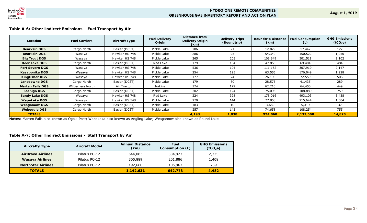

#### **Table A-6: Other Indirect Emissions – Fuel Transport by Air**

| Location                | <b>Fuel Carriers</b> | <b>Aircraft Type</b> | <b>Fuel Delivery</b><br>Origin | Distance from<br>Delivery Origin<br>(km) | <b>Delivery Trips</b><br>(Roundtrip) | <b>Roundtrip Distance</b><br>(km) | <b>Fuel Consumption</b><br>(L) | <b>GHG Emissions</b><br>(tCO <sub>2</sub> e) |
|-------------------------|----------------------|----------------------|--------------------------------|------------------------------------------|--------------------------------------|-----------------------------------|--------------------------------|----------------------------------------------|
| <b>Bearksin DGS</b>     | Cargo North          | Basler (DC3T)        | Pickle Lake                    | 286                                      | 21                                   | 12,029                            | 17,442                         | 122                                          |
| <b>Bearksin DGS</b>     | Wasaya               | Hawker HS 748        | Pickle Lake                    | 286                                      | 95                                   | 54,340                            | 150,522                        | 1,050                                        |
| <b>Big Trout DGS</b>    | Wasaya               | Hawker HS 748        | Pickle Lake                    | 265                                      | 205                                  | 108,849                           | 301,511                        | 2,102                                        |
| <b>Deer Lake DGS</b>    | Cargo North          | Basler (DC3T)        | Red Lake                       | 179                                      | 134                                  | 47,865                            | 69,404                         | 484                                          |
| <b>Fort Severn DGS</b>  | Wasaya               | Hawker HS 748        | Pickle Lake                    | 536                                      | 104                                  | 111,162                           | 307,919                        | 2,147                                        |
| Kasabonika DGS          | Wasaya               | Hawker HS 748        | Pickle Lake                    | 254                                      | 125                                  | 63,556                            | 176,049                        | 1,228                                        |
| <b>Kingfisher DGS</b>   | Wasaya               | Hawker HS 748        | Pickle Lake                    | 177                                      | 74                                   | 26,195                            | 72,559                         | 506                                          |
| <b>Lansdowne DGS</b>    | Cargo North          | Basler (DC3T)        | Pickle Lake                    | 179                                      | 80                                   | 28,576                            | 41,435                         | 289                                          |
| <b>Marten Falls DGS</b> | Wilderness North     | Air Tractor          | Nakina                         | 174                                      | 179                                  | 62,210                            | 64,450                         | 449                                          |
| <b>Sachigo DGS</b>      | Cargo North          | Basler (DC3T)        | Pickle Lake                    | 302                                      | 124                                  | 75,096                            | 108,889                        | 759                                          |
| <b>Sandy Lake DGS</b>   | Wasaya               | Hawker HS 748        | Red Lake                       | 224                                      | 398                                  | 178,016                           | 493,103                        | 3,438                                        |
| Wapekeka DGS            | Wasaya               | Hawker HS 748        | Pickle Lake                    | 270                                      | 144                                  | 77,850                            | 215,644                        | 1,504                                        |
| <b>Weagamow DGS</b>     | Cargo North          | Basler (DC3T)        | Pickle Lake                    | 183                                      | 10                                   | 3,669                             | 5,319                          | 37                                           |
| <b>Webequie DGS</b>     | Cargo North          | Basler (DC3T)        | Pickle Lake                    | 257                                      | 145                                  | 74,658                            | 108,254                        | 755                                          |
| <b>TOTALS</b>           |                      |                      |                                | 4,193                                    | 1,838                                | 924,068                           | 2,132,500                      | 14,870                                       |

**Notes**: Marten Falls also known as Ogoki Post; Wapekeka also known as Angling Lake; Weagamow also known as Round Lake

### **Table** *A-7:* **Other Indirect Emissions – Staff Transport by Air**

| <b>Aircrafty Type</b>     | <b>Aircraft Model</b> | <b>Annual Distance</b><br>(km) | Fuel<br>Consumption (L) | <b>GHG Emissions</b><br>(tCO <sub>2</sub> e) |
|---------------------------|-----------------------|--------------------------------|-------------------------|----------------------------------------------|
| <b>AirBravo Airlines</b>  | Pilatus PC-12         | 644,083                        | 334,923                 | 2,335                                        |
| <b>Wasaya Airlines</b>    | Pilatus PC-12         | 305,889                        | 201,886                 | 1,408                                        |
| <b>NorthStar Airlines</b> | Pilatus PC-12         | 192,660                        | 105,963                 | 739                                          |
| <b>TOTALS</b>             |                       | 1,142,631                      | 642.773                 | 4,482                                        |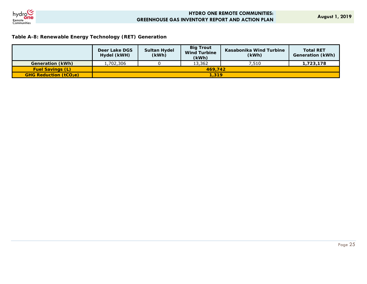

**August 1, 2019**

### **Table A-8: Renewable Energy Technology (RET) Generation**

|                              | Deer Lake DGS<br>Hydel (kWH) | <b>Sultan Hydel</b><br>(kWh) | <b>Big Trout</b><br><b>Wind Turbine</b><br>(kWh) | Kasabonika Wind Turbine<br>(kWh) | <b>Total RET</b><br>Generation (kWh) |  |
|------------------------------|------------------------------|------------------------------|--------------------------------------------------|----------------------------------|--------------------------------------|--|
| Generation (kWh)             | .702,306                     |                              | 13,362                                           | 7.510                            | 1,723,178                            |  |
| <b>Fuel Savings (L)</b>      | 469.742                      |                              |                                                  |                                  |                                      |  |
| <b>GHG Reduction (tCO2e)</b> | 1,319                        |                              |                                                  |                                  |                                      |  |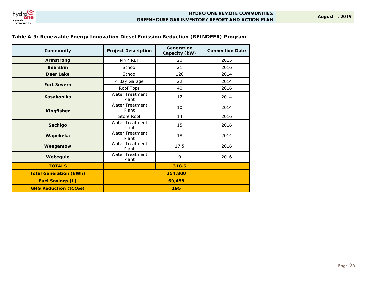

| Community                     | <b>Project Description</b>      | Generation<br>Capacity (kW) | <b>Connection Date</b> |  |  |
|-------------------------------|---------------------------------|-----------------------------|------------------------|--|--|
| Armstrong                     | MNR RET                         | 20                          | 2015                   |  |  |
| <b>Bearskin</b>               | School                          | 21                          | 2016                   |  |  |
| <b>Deer Lake</b>              | School                          | 120                         | 2014                   |  |  |
|                               | 4 Bay Garage                    | 22                          | 2014                   |  |  |
| <b>Fort Severn</b>            | Roof Tops                       | 40                          | 2016                   |  |  |
| Kasabonika                    | <b>Water Treatment</b><br>Plant | 12                          | 2014                   |  |  |
| <b>Kingfisher</b>             | <b>Water Treatment</b><br>Plant | 10                          | 2014                   |  |  |
|                               | Store Roof                      | 14                          | 2016                   |  |  |
| Sachigo                       | <b>Water Treatment</b><br>Plant | 15                          | 2016                   |  |  |
| Wapekeka                      | <b>Water Treatment</b><br>Plant | 18                          | 2014                   |  |  |
| Weagamow                      | <b>Water Treatment</b><br>Plant | 17.5                        | 2016                   |  |  |
| Webequie                      | <b>Water Treatment</b><br>Plant | 9                           | 2016                   |  |  |
| <b>TOTALS</b>                 |                                 | 318.5                       |                        |  |  |
| <b>Total Generation (kWh)</b> | 254,800                         |                             |                        |  |  |
| <b>Fuel Savings (L)</b>       | 69,459                          |                             |                        |  |  |
| <b>GHG Reduction (tCO2e)</b>  | 195                             |                             |                        |  |  |

### **Table A-9: Renewable Energy Innovation Diesel Emission Reduction (REINDEER) Program**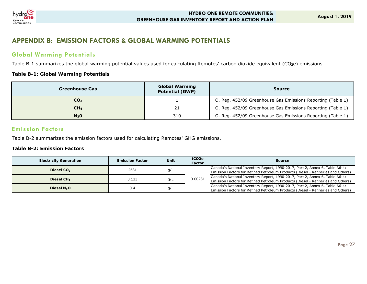

## **APPENDIX B: EMISSION FACTORS & GLOBAL WARMING POTENTIALS**

## **Global Warming Potentials**

Table B-1 summarizes the global warming potential values used for calculating Remotes' carbon dioxide equivalent (CO2e) emissions.

#### **Table B-1: Global Warming Potentials**

| Greenhouse Gas  | <b>Global Warming</b><br><b>Potential (GWP)</b> | <b>Source</b>                                               |
|-----------------|-------------------------------------------------|-------------------------------------------------------------|
| CO <sub>2</sub> |                                                 | O. Reg. 452/09 Greenhouse Gas Emissions Reporting (Table 1) |
| CH4             |                                                 | O. Reg. 452/09 Greenhouse Gas Emissions Reporting (Table 1) |
| $N2$ O          | 310                                             | O. Reg. 452/09 Greenhouse Gas Emissions Reporting (Table 1) |

### **Emission Factors**

Table B-2 summarizes the emission factors used for calculating Remotes' GHG emissions.

#### **Table B-2: Emission Factors**

| <b>Electricity Generation</b> | <b>Emission Factor</b> | Unit | tCO <sub>2e</sub><br>Factor | Source                                                                                                                                                           |
|-------------------------------|------------------------|------|-----------------------------|------------------------------------------------------------------------------------------------------------------------------------------------------------------|
| Diesel CO <sub>2</sub>        | 2681                   | q/L  |                             | Canada's National Inventory Report, 1990-2017, Part 2, Annex 6, Table A6-4:<br>Emission Factors for Refined Petroleum Products (Diesel - Refineries and Others)  |
| Diesel $CH4$                  | 0.133                  | q/L  | 0.00281                     | Canada's National Inventory Report, 1990-2017, Part 2, Annex 6, Table A6-4:<br>[Emission Factors for Refined Petroleum Products (Diesel - Refineries and Others) |
| Diesel $N_2O$                 | 0.4                    | q/L  |                             | Canada's National Inventory Report, 1990-2017, Part 2, Annex 6, Table A6-4:<br>Emission Factors for Refined Petroleum Products (Diesel - Refineries and Others)  |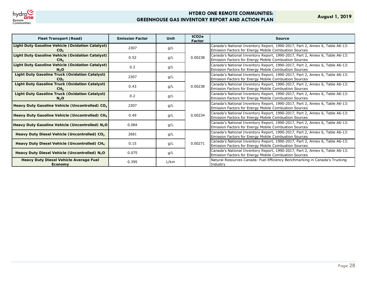

**August 1, 2019**

| <b>Fleet Transport (Road)</b>                                        | <b>Emission Factor</b> | Unit | tCO <sub>2e</sub><br>Factor | Source                                                                                                                                       |
|----------------------------------------------------------------------|------------------------|------|-----------------------------|----------------------------------------------------------------------------------------------------------------------------------------------|
| Light Duty Gasoline Vehicle (Oxidation Catalyst)<br>CO <sub>2</sub>  | 2307                   | q/L  |                             | Canada's National Inventory Report, 1990-2017, Part 2, Annex 6, Table A6-13:<br>Emission Factors for Energy Mobile Combustion Sources        |
| Light Duty Gasoline Vehicle (Oxidation Catalyst)<br>CH <sub>A</sub>  | 0.52                   | q/L  | 0.00238                     | Canada's National Inventory Report, 1990-2017, Part 2, Annex 6, Table A6-13:<br><b>Emission Factors for Energy Mobile Combustion Sources</b> |
| Light Duty Gasoline Vehicle (Oxidation Catalyst)<br>N <sub>2</sub> O | 0.2                    | q/L  |                             | Canada's National Inventory Report, 1990-2017, Part 2, Annex 6, Table A6-13:<br><b>Emission Factors for Energy Mobile Combustion Sources</b> |
| Light Duty Gasoline Truck (Oxidation Catalyst)<br>CO <sub>2</sub>    | 2307                   | q/L  |                             | Canada's National Inventory Report, 1990-2017, Part 2, Annex 6, Table A6-13:<br>Emission Factors for Energy Mobile Combustion Sources        |
| Light Duty Gasoline Truck (Oxidation Catalyst)<br>CH <sub>A</sub>    | 0.43                   | q/L  | 0.00238                     | Canada's National Inventory Report, 1990-2017, Part 2, Annex 6, Table A6-13:<br><b>Emission Factors for Energy Mobile Combustion Sources</b> |
| Light Duty Gasoline Truck (Oxidation Catalyst)<br>N <sub>2</sub> O   | 0.2                    | q/L  |                             | Canada's National Inventory Report, 1990-2017, Part 2, Annex 6, Table A6-13:<br>Emission Factors for Energy Mobile Combustion Sources        |
| Heavy Duty Gasoline Vehicle (Uncontrolled) CO <sub>2</sub>           | 2307                   | q/L  |                             | Canada's National Inventory Report, 1990-2017, Part 2, Annex 6, Table A6-13:<br>Emission Factors for Energy Mobile Combustion Sources        |
| Heavy Duty Gasoline Vehicle (Uncontrolled) CH <sub>4</sub>           | 0.49                   | q/L  | 0.00234                     | Canada's National Inventory Report, 1990-2017, Part 2, Annex 6, Table A6-13:<br><b>Emission Factors for Energy Mobile Combustion Sources</b> |
| Heavy Duty Gasoline Vehicle (Uncontrolled) N <sub>2</sub> O          | 0.084                  | q/L  |                             | Canada's National Inventory Report, 1990-2017, Part 2, Annex 6, Table A6-13:<br>Emission Factors for Energy Mobile Combustion Sources        |
| Heavy Duty Diesel Vehicle (Uncontrolled) CO <sub>2</sub>             | 2681                   | q/L  |                             | Canada's National Inventory Report, 1990-2017, Part 2, Annex 6, Table A6-13:<br>Emission Factors for Energy Mobile Combustion Sources        |
| Heavy Duty Diesel Vehicle (Uncontrolled) CH <sub>4</sub>             | 0.15                   | g/L  | 0.00271                     | Canada's National Inventory Report, 1990-2017, Part 2, Annex 6, Table A6-13:<br><b>Emission Factors for Energy Mobile Combustion Sources</b> |
| Heavy Duty Diesel Vehicle (Uncontrolled) N <sub>2</sub> O            | 0.075                  | q/L  |                             | Canada's National Inventory Report, 1990-2017, Part 2, Annex 6, Table A6-13:<br>Emission Factors for Energy Mobile Combustion Sources        |
| <b>Heavy Duty Diesel Vehicle Average Fuel</b><br>Economy             | 0.395                  | L/km |                             | Natural Resources Canada: Fuel Efficiency Benchmarking in Canada's Trucking<br>Industry                                                      |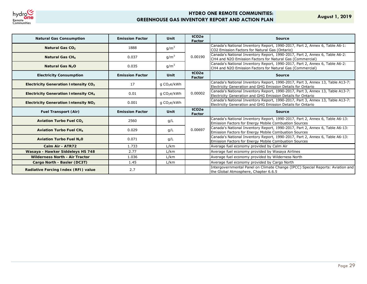

**August 1, 2019**

| <b>Natural Gas Consumption</b>                         | <b>Emission Factor</b> | Unit                    | tCO <sub>2e</sub><br>Factor | <b>Source</b>                                                                                                                                |
|--------------------------------------------------------|------------------------|-------------------------|-----------------------------|----------------------------------------------------------------------------------------------------------------------------------------------|
| Natural Gas CO <sub>2</sub>                            | 1888                   | $g/m^3$                 |                             | Canada's National Inventory Report, 1990-2017, Part 2, Annex 6, Table A6-1:<br>CO2 Emission Factors for Natural Gas (Ontario)                |
| Natural Gas CH4                                        | 0.037                  | $g/m^3$                 | 0.00190                     | Canada's National Inventory Report, 1990-2017, Part 2, Annex 6, Table A6-2:<br>CH4 and N2O Emission Factors for Natural Gas (Commercial)     |
| <b>Natural Gas N<sub>2</sub>O</b>                      | 0.035                  | $g/m^3$                 |                             | Canada's National Inventory Report, 1990-2017, Part 2, Annex 6, Table A6-2:<br>CH4 and N2O Emission Factors for Natural Gas (Commercial)     |
| <b>Electricity Consumption</b>                         | <b>Emission Factor</b> | Unit                    | tCO <sub>2e</sub><br>Factor | <b>Source</b>                                                                                                                                |
| Electricity Generation Intensity CO <sub>2</sub>       | 17                     | g $CO2e/kWh$            |                             | Canada's National Inventory Report, 1990-2017, Part 3, Annex 13, Table A13-7:<br>Electricity Generation and GHG Emission Details for Ontario |
| Electricity Generation Intensity CH4                   | 0.01                   | g CO <sub>2</sub> e/kWh | 0.00002                     | Canada's National Inventory Report, 1990-2017, Part 3, Annex 13, Table A13-7:<br>Electricity Generation and GHG Emission Details for Ontario |
| <b>Electricity Generation Intensity NO<sub>2</sub></b> | 0.001                  | g CO <sub>2</sub> e/kWh |                             | Canada's National Inventory Report, 1990-2017, Part 3, Annex 13, Table A13-7:<br>Electricity Generation and GHG Emission Details for Ontario |
| <b>Fuel Transport (Air)</b>                            | <b>Emission Factor</b> | Unit                    | tCO <sub>2e</sub><br>Factor | <b>Source</b>                                                                                                                                |
| <b>Aviation Turbo Fuel CO<sub>2</sub></b>              | 2560                   | g/L                     |                             | Canada's National Inventory Report, 1990-2017, Part 2, Annex 6, Table A6-13:<br>Emission Factors for Energy Mobile Combustion Sources        |
| <b>Aviation Turbo Fuel CH4</b>                         | 0.029                  | q/L                     | 0.00697                     | Canada's National Inventory Report, 1990-2017, Part 2, Annex 6, Table A6-13:<br>Emission Factors for Energy Mobile Combustion Sources        |
| Aviation Turbo Fuel N <sub>2</sub> 0                   | 0.071                  | q/L                     |                             | Canada's National Inventory Report, 1990-2017, Part 2, Annex 6, Table A6-13:<br>Emission Factors for Energy Mobile Combustion Sources        |
| Calm Air - ATR72                                       | 1.733                  | L/km                    |                             | Average fuel economy provided by Calm Air                                                                                                    |
| Wasaya - Hawker Siddeleys HS 748                       | 2.77                   | L/km                    |                             | Average fuel economy provided by Wasaya Airlines                                                                                             |
| <b>Wilderness North - Air Tractor</b>                  | 1.036                  | L/km                    |                             | Average fuel economy provided by Wilderness North                                                                                            |
| Cargo North - Basler (DC3T)                            | 1.45                   | L/km                    |                             | Average fuel economy provided by Cargo North                                                                                                 |
| Radiative Forcing Index (RFI) value                    | 2.7                    |                         |                             | Intergovernmental Panel on Climate Change (IPCC) Special Reports: Aviation and<br>the Global Atmosphere, Chapter 6.6.5                       |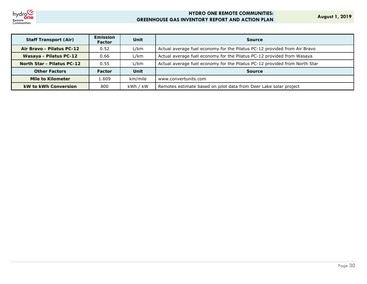

**August 1, 2019**

| <b>Staff Transport (Air)</b>      | <b>Emission</b><br><b>Factor</b> | Unit     | <b>Source</b>                                                              |
|-----------------------------------|----------------------------------|----------|----------------------------------------------------------------------------|
| Air Bravo - Pilatus PC-12         | 0.52                             | L/km     | Actual average fuel economy for the Pilatus PC-12 provided from Air Bravo  |
| Wasaya - Pilatus PC-12            | 0.66                             | L/km     | Actual average fuel economy for the Pilatus PC-12 provided from Wasaya     |
| <b>North Star - Pilatus PC-12</b> | 0.55                             | L/km     | Actual average fuel economy for the Pilatus PC-12 provided from North Star |
| <b>Other Factors</b>              | Factor                           | Unit     | <b>Source</b>                                                              |
| Mile to Kilometer                 | 1.609                            | km/mile  | www.convertunits.com                                                       |
| <b>kW to kWh Conversion</b>       | 800                              | kWh / kW | Remotes estimate based on pilot data from Deer Lake solar project          |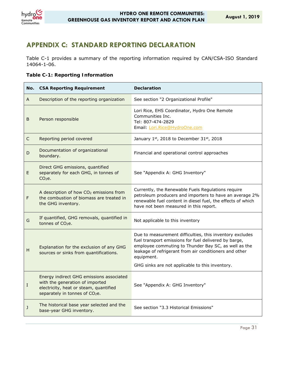

## **APPENDIX C: STANDARD REPORTING DECLARATION**

Table C-1 provides a summary of the reporting information required by CAN/CSA-ISO Standard 14064-1-06.

#### **Table C-1: Reporting Information**

| No. | <b>CSA Reporting Requirement</b>                                                                                                                                    | <b>Declaration</b>                                                                                                                                                                                                                                                                                   |
|-----|---------------------------------------------------------------------------------------------------------------------------------------------------------------------|------------------------------------------------------------------------------------------------------------------------------------------------------------------------------------------------------------------------------------------------------------------------------------------------------|
| A   | Description of the reporting organization                                                                                                                           | See section "2 Organizational Profile"                                                                                                                                                                                                                                                               |
| B   | Person responsible                                                                                                                                                  | Lori Rice, EHS Coordinator, Hydro One Remote<br>Communities Inc.<br>Tel: 807-474-2829<br>Email: Lori.Rice@HydroOne.com                                                                                                                                                                               |
| C   | Reporting period covered                                                                                                                                            | January $1^{st}$ , 2018 to December 31st, 2018                                                                                                                                                                                                                                                       |
| D   | Documentation of organizational<br>boundary.                                                                                                                        | Financial and operational control approaches                                                                                                                                                                                                                                                         |
| E   | Direct GHG emissions, quantified<br>separately for each GHG, in tonnes of<br>CO <sub>2</sub> e.                                                                     | See "Appendix A: GHG Inventory"                                                                                                                                                                                                                                                                      |
| F   | A description of how CO <sub>2</sub> emissions from<br>the combustion of biomass are treated in<br>the GHG inventory.                                               | Currently, the Renewable Fuels Regulations require<br>petroleum producers and importers to have an average 2%<br>renewable fuel content in diesel fuel, the effects of which<br>have not been measured in this report.                                                                               |
| G   | If quantified, GHG removals, quantified in<br>tonnes of CO <sub>2</sub> e.                                                                                          | Not applicable to this inventory                                                                                                                                                                                                                                                                     |
| н   | Explanation for the exclusion of any GHG<br>sources or sinks from quantifications.                                                                                  | Due to measurement difficulties, this inventory excludes<br>fuel transport emissions for fuel delivered by barge,<br>employee commuting to Thunder Bay SC, as well as the<br>leakage of refrigerant from air conditioners and other<br>equipment.<br>GHG sinks are not applicable to this inventory. |
| I   | Energy indirect GHG emissions associated<br>with the generation of imported<br>electricity, heat or steam, quantified<br>separately in tonnes of CO <sub>2</sub> e. | See "Appendix A: GHG Inventory"                                                                                                                                                                                                                                                                      |
| J   | The historical base year selected and the<br>base-year GHG inventory.                                                                                               | See section "3.3 Historical Emissions"                                                                                                                                                                                                                                                               |